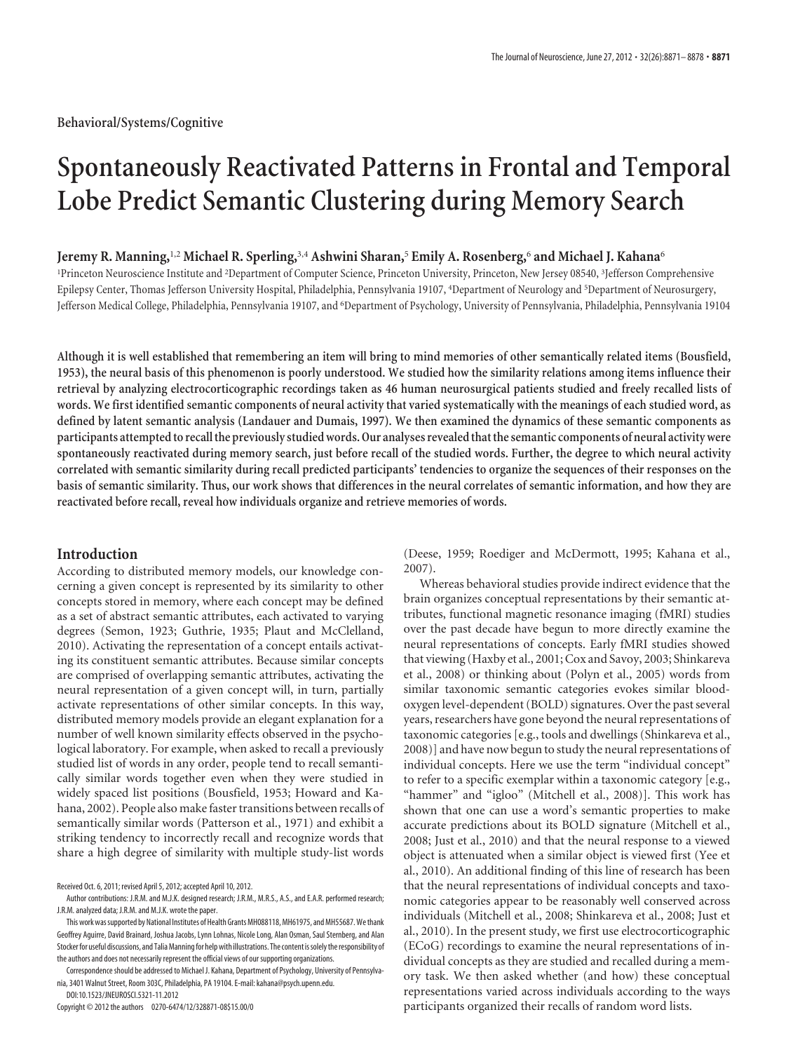# **Spontaneously Reactivated Patterns in Frontal and Temporal Lobe Predict Semantic Clustering during Memory Search**

# **Jeremy R. Manning,**1,2 **Michael R. Sperling,**3,4 **Ashwini Sharan,**<sup>5</sup> **Emily A. Rosenberg,**<sup>6</sup> **and Michael J. Kahana**<sup>6</sup>

<sup>1</sup>Princeton Neuroscience Institute and <sup>2</sup>Department of Computer Science, Princeton University, Princeton, New Jersey 08540, <sup>3</sup>Jefferson Comprehensive Epilepsy Center, Thomas Jefferson University Hospital, Philadelphia, Pennsylvania 19107, <sup>4</sup>Department of Neurology and <sup>5</sup>Department of Neurosurgery, Jefferson Medical College, Philadelphia, Pennsylvania 19107, and <sup>6</sup> Department of Psychology, University of Pennsylvania, Philadelphia, Pennsylvania 19104

**Although it is well established that remembering an item will bring to mind memories of other semantically related items (Bousfield, 1953), the neural basis of this phenomenon is poorly understood. We studied how the similarity relations among items influence their retrieval by analyzing electrocorticographic recordings taken as 46 human neurosurgical patients studied and freely recalled lists of words. We first identified semantic components of neural activity that varied systematically with the meanings of each studied word, as defined by latent semantic analysis (Landauer and Dumais, 1997). We then examined the dynamics of these semantic components as** participants attempted to recall the previously studied words. Our analyses revealed that the semantic components of neural activity were **spontaneously reactivated during memory search, just before recall of the studied words. Further, the degree to which neural activity correlated with semantic similarity during recall predicted participants' tendencies to organize the sequences of their responses on the basis of semantic similarity. Thus, our work shows that differences in the neural correlates of semantic information, and how they are reactivated before recall, reveal how individuals organize and retrieve memories of words.**

## **Introduction**

According to distributed memory models, our knowledge concerning a given concept is represented by its similarity to other concepts stored in memory, where each concept may be defined as a set of abstract semantic attributes, each activated to varying degrees (Semon, 1923; Guthrie, 1935; Plaut and McClelland, 2010). Activating the representation of a concept entails activating its constituent semantic attributes. Because similar concepts are comprised of overlapping semantic attributes, activating the neural representation of a given concept will, in turn, partially activate representations of other similar concepts. In this way, distributed memory models provide an elegant explanation for a number of well known similarity effects observed in the psychological laboratory. For example, when asked to recall a previously studied list of words in any order, people tend to recall semantically similar words together even when they were studied in widely spaced list positions (Bousfield, 1953; Howard and Kahana, 2002). People also make faster transitions between recalls of semantically similar words (Patterson et al., 1971) and exhibit a striking tendency to incorrectly recall and recognize words that share a high degree of similarity with multiple study-list words

DOI:10.1523/JNEUROSCI.5321-11.2012 Copyright © 2012 the authors 0270-6474/12/328871-08\$15.00/0

(Deese, 1959; Roediger and McDermott, 1995; Kahana et al., 2007).

Whereas behavioral studies provide indirect evidence that the brain organizes conceptual representations by their semantic attributes, functional magnetic resonance imaging (fMRI) studies over the past decade have begun to more directly examine the neural representations of concepts. Early fMRI studies showed that viewing (Haxby et al., 2001; Cox and Savoy, 2003; Shinkareva et al., 2008) or thinking about (Polyn et al., 2005) words from similar taxonomic semantic categories evokes similar bloodoxygen level-dependent (BOLD) signatures. Over the past several years, researchers have gone beyond the neural representations of taxonomic categories [e.g., tools and dwellings (Shinkareva et al., 2008)] and have now begun to study the neural representations of individual concepts. Here we use the term "individual concept" to refer to a specific exemplar within a taxonomic category [e.g., "hammer" and "igloo" (Mitchell et al., 2008)]. This work has shown that one can use a word's semantic properties to make accurate predictions about its BOLD signature (Mitchell et al., 2008; Just et al., 2010) and that the neural response to a viewed object is attenuated when a similar object is viewed first (Yee et al., 2010). An additional finding of this line of research has been that the neural representations of individual concepts and taxonomic categories appear to be reasonably well conserved across individuals (Mitchell et al., 2008; Shinkareva et al., 2008; Just et al., 2010). In the present study, we first use electrocorticographic (ECoG) recordings to examine the neural representations of individual concepts as they are studied and recalled during a memory task. We then asked whether (and how) these conceptual representations varied across individuals according to the ways participants organized their recalls of random word lists.

Received Oct. 6, 2011; revised April 5, 2012; accepted April 10, 2012.

Author contributions: J.R.M. and M.J.K. designed research; J.R.M., M.R.S., A.S., and E.A.R. performed research; J.R.M. analyzed data; J.R.M. and M.J.K. wrote the paper.

This work was supported by National Institutes of Health Grants MH088118, MH61975, and MH55687. We thank Geoffrey Aguirre, David Brainard, Joshua Jacobs, Lynn Lohnas, Nicole Long, Alan Osman, Saul Sternberg, and Alan Stocker for useful discussions, and Talia Manning for help with illustrations. The content is solely the responsibility of the authors and does not necessarily represent the official views of our supporting organizations.

Correspondence should be addressed to Michael J. Kahana, Department of Psychology, University of Pennsylvania, 3401 Walnut Street, Room 303C, Philadelphia, PA 19104. E-mail: kahana@psych.upenn.edu.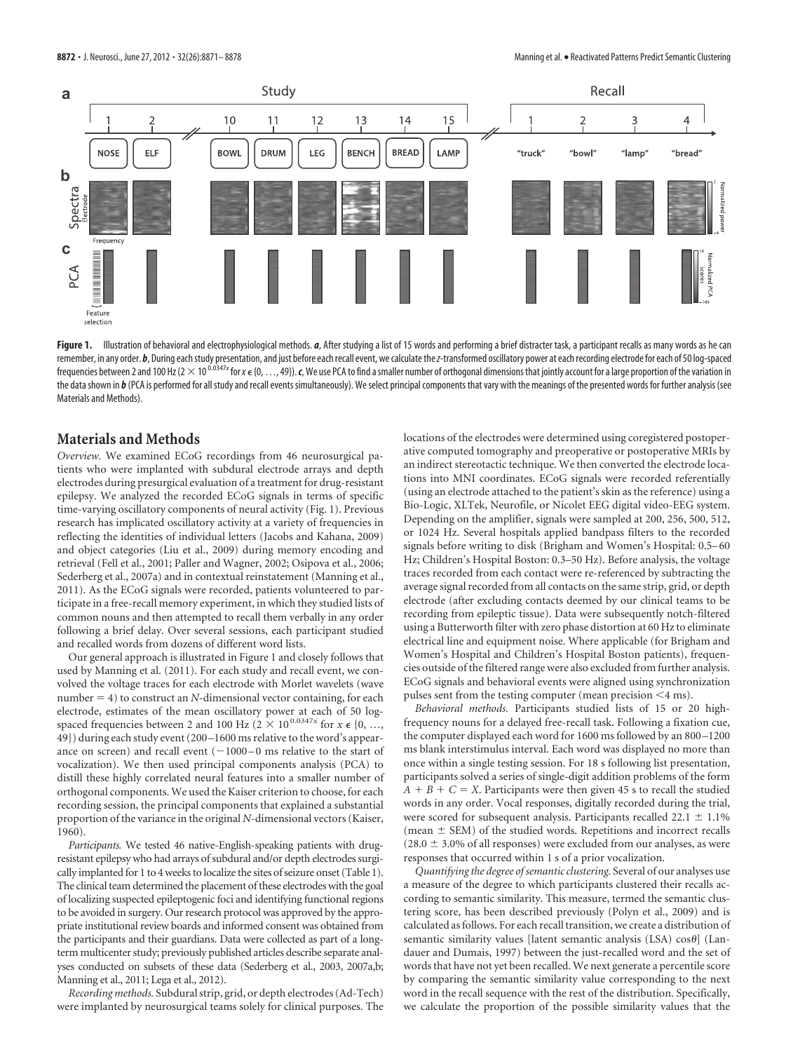

Figure 1. Illustration of behavioral and electrophysiological methods. *a*, After studying a list of 15 words and performing a brief distracter task, a participant recalls as many words as he can remember, in any order. b, During each study presentation, and just before each recall event, we calculate the z-transformed oscillatory power at each recording electrode for each of 50 log-spaced frequencies between 2 and 100 Hz (2  $\times$  10 <sup>0.0347x</sup> for x  $\epsilon$  {0, …, 49}). **c**, We use PCA to find a smaller number of orthogonal dimensions that jointly account for a large proportion of the variation in the data shown in  $b$  (PCA is performed for all study and recall events simultaneously). We select principal components that vary with the meanings of the presented words for further analysis (see Materials and Methods).

## **Materials and Methods**

*Overview.* We examined ECoG recordings from 46 neurosurgical patients who were implanted with subdural electrode arrays and depth electrodes during presurgical evaluation of a treatment for drug-resistant epilepsy. We analyzed the recorded ECoG signals in terms of specific time-varying oscillatory components of neural activity (Fig. 1). Previous research has implicated oscillatory activity at a variety of frequencies in reflecting the identities of individual letters (Jacobs and Kahana, 2009) and object categories (Liu et al., 2009) during memory encoding and retrieval (Fell et al., 2001; Paller and Wagner, 2002; Osipova et al., 2006; Sederberg et al., 2007a) and in contextual reinstatement (Manning et al., 2011). As the ECoG signals were recorded, patients volunteered to participate in a free-recall memory experiment, in which they studied lists of common nouns and then attempted to recall them verbally in any order following a brief delay. Over several sessions, each participant studied and recalled words from dozens of different word lists.

Our general approach is illustrated in Figure 1 and closely follows that used by Manning et al. (2011). For each study and recall event, we convolved the voltage traces for each electrode with Morlet wavelets (wave number  $= 4$ ) to construct an *N*-dimensional vector containing, for each electrode, estimates of the mean oscillatory power at each of 50 logspaced frequencies between 2 and 100 Hz ( $2 \times 10^{0.0347x}$  for  $x \in \{0, ...,$ 49}) during each study event (200 –1600 ms relative to the word's appearance on screen) and recall event  $(-1000 - 0$  ms relative to the start of vocalization). We then used principal components analysis (PCA) to distill these highly correlated neural features into a smaller number of orthogonal components. We used the Kaiser criterion to choose, for each recording session, the principal components that explained a substantial proportion of the variance in the original *N-*dimensional vectors (Kaiser, 1960).

*Participants.* We tested 46 native-English-speaking patients with drugresistant epilepsy who had arrays of subdural and/or depth electrodes surgically implanted for 1 to 4 weeks to localize the sites of seizure onset (Table 1). The clinical team determined the placement of these electrodes with the goal of localizing suspected epileptogenic foci and identifying functional regions to be avoided in surgery. Our research protocol was approved by the appropriate institutional review boards and informed consent was obtained from the participants and their guardians. Data were collected as part of a longterm multicenter study; previously published articles describe separate analyses conducted on subsets of these data (Sederberg et al., 2003, 2007a,b; Manning et al., 2011; Lega et al., 2012).

*Recording methods.* Subdural strip, grid, or depth electrodes (Ad-Tech) were implanted by neurosurgical teams solely for clinical purposes. The locations of the electrodes were determined using coregistered postoperative computed tomography and preoperative or postoperative MRIs by an indirect stereotactic technique. We then converted the electrode locations into MNI coordinates. ECoG signals were recorded referentially (using an electrode attached to the patient's skin as the reference) using a Bio-Logic, XLTek, Neurofile, or Nicolet EEG digital video-EEG system. Depending on the amplifier, signals were sampled at 200, 256, 500, 512, or 1024 Hz. Several hospitals applied bandpass filters to the recorded signals before writing to disk (Brigham and Women's Hospital: 0.5– 60 Hz; Children's Hospital Boston: 0.3–50 Hz). Before analysis, the voltage traces recorded from each contact were re-referenced by subtracting the average signal recorded from all contacts on the same strip, grid, or depth electrode (after excluding contacts deemed by our clinical teams to be recording from epileptic tissue). Data were subsequently notch-filtered using a Butterworth filter with zero phase distortion at 60 Hz to eliminate electrical line and equipment noise. Where applicable (for Brigham and Women's Hospital and Children's Hospital Boston patients), frequencies outside of the filtered range were also excluded from further analysis. ECoG signals and behavioral events were aligned using synchronization pulses sent from the testing computer (mean precision  $\leq$ 4 ms).

*Behavioral methods.* Participants studied lists of 15 or 20 highfrequency nouns for a delayed free-recall task. Following a fixation cue, the computer displayed each word for 1600 ms followed by an 800 –1200 ms blank interstimulus interval. Each word was displayed no more than once within a single testing session. For 18 s following list presentation, participants solved a series of single-digit addition problems of the form  $A + B + C = X$ . Participants were then given 45 s to recall the studied words in any order. Vocal responses, digitally recorded during the trial, were scored for subsequent analysis. Participants recalled  $22.1 \pm 1.1\%$ (mean  $\pm$  SEM) of the studied words. Repetitions and incorrect recalls  $(28.0 \pm 3.0\%$  of all responses) were excluded from our analyses, as were responses that occurred within 1 s of a prior vocalization.

*Quantifying the degree of semantic clustering.* Several of our analyses use a measure of the degree to which participants clustered their recalls according to semantic similarity. This measure, termed the semantic clustering score, has been described previously (Polyn et al., 2009) and is calculated as follows. For each recall transition, we create a distribution of semantic similarity values [latent semantic analysis (LSA) cos $\theta$ ] (Landauer and Dumais, 1997) between the just-recalled word and the set of words that have not yet been recalled. We next generate a percentile score by comparing the semantic similarity value corresponding to the next word in the recall sequence with the rest of the distribution. Specifically, we calculate the proportion of the possible similarity values that the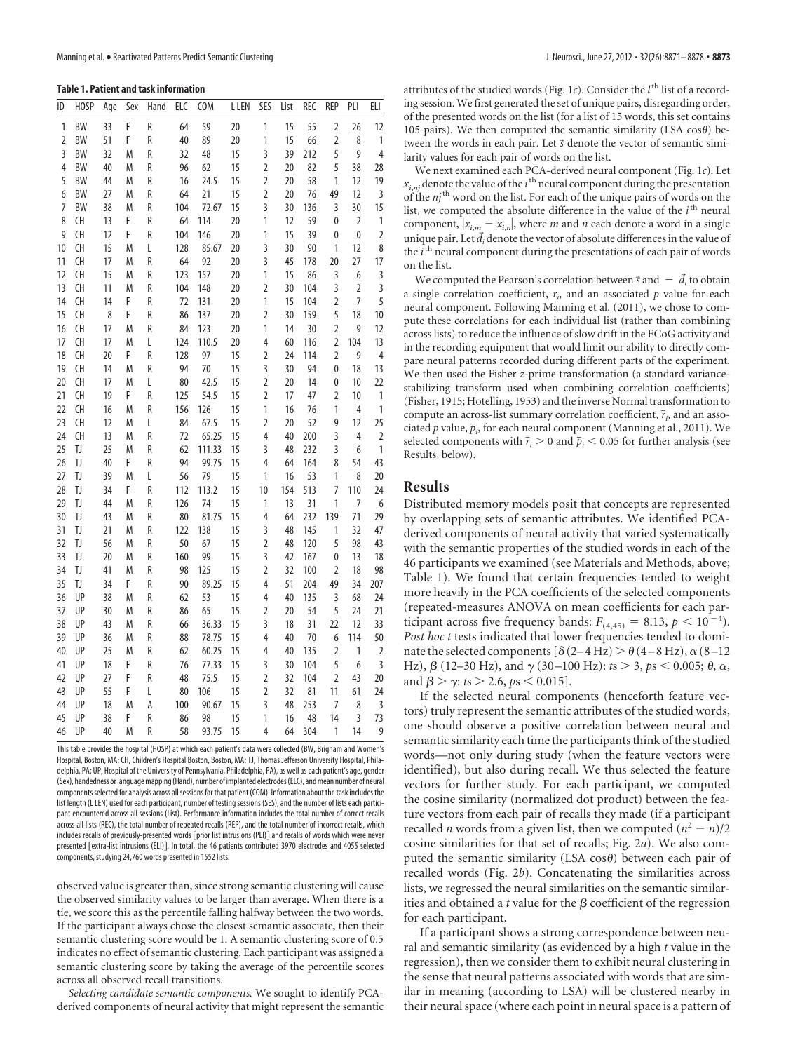**Table 1. Patient and task information**

| ID       | HOSP      | Age      | Sex    | Hand   | ELC       | <b>COM</b> | L LEN    | SES                 | List     | <b>REC</b> | REP                 | PLI            | ELI         |
|----------|-----------|----------|--------|--------|-----------|------------|----------|---------------------|----------|------------|---------------------|----------------|-------------|
| 1        | <b>BW</b> | 33       | F      | R      | 64        | 59         | 20       | 1                   | 15       | 55         | $\overline{2}$      | 26             | 12          |
| 2        | BW        | 51       | F      | R      | 40        | 89         | 20       | 1                   | 15       | 66         | $\overline{2}$      | 8              | 1           |
| 3        | BW        | 32       | M      | R      | 32        | 48         | 15       | 3                   | 39       | 212        | 5                   | 9              | 4           |
| 4        | <b>BW</b> | 40       | M      | R      | 96        | 62         | 15       | $\overline{2}$      | 20       | 82         | 5                   | 38             | 28          |
| 5        | <b>BW</b> | 44       | M      | R      | 16        | 24.5       | 15       | $\overline{2}$      | 20       | 58         | 1                   | 12             | 19          |
| 6        | <b>BW</b> | 27       | M      | R      | 64        | 21         | 15       | $\overline{2}$      | 20       | 76         | 49                  | 12             | 3           |
| 7        | BW        | 38       | M      | R      | 104       | 72.67      | 15       | 3                   | 30       | 136        | 3                   | 30             | 15          |
| 8        | CH        | 13       | F      | R      | 64        | 114        | 20       | 1                   | 12       | 59         | 0                   | $\overline{2}$ | 1           |
| 9        | CH        | 12       | F      | R      | 104       | 146        | 20       | 1                   | 15       | 39         | 0                   | 0              | $\mathbf 2$ |
| 10       | CH        | 15       | M      | L      | 128       | 85.67      | 20       | 3                   | 30       | 90         | 1                   | 12             | 8           |
| 11       | CH        | 17       | M      | R      | 64        | 92         | 20       | 3                   | 45       | 178        | 20                  | 27             | 17          |
| 12       | CH        | 15       | M      | R      | 123       | 157        | 20       | 1                   | 15       | 86         | 3                   | 6              | 3           |
| 13       | CH        | 11       | M      | R      | 104       | 148        | 20       | $\overline{2}$      | 30       | 104        | 3                   | 2              | 3           |
| 14       | <b>CH</b> | 14       | F      | R      | 72        | 131        | 20       | 1                   | 15       | 104        | $\overline{2}$      | 7              | 5           |
| 15       | CH        | 8        | F      | R      | 86        | 137        | 20       | $\overline{2}$      | 30       | 159        | 5                   | 18             | 10          |
| 16       | CH        | 17       | M      | R      | 84        | 123        | 20       | 1                   | 14       | 30         | $\overline{2}$      | 9              | 12          |
| 17       | CH        | 17       | M      | L      | 124       | 110.5      | 20       | 4                   | 60       | 116        | $\overline{2}$      | 104            | 13          |
| 18       | CH        | 20       | F      | R      | 128       | 97         | 15       | $\overline{2}$      | 24       | 114        | $\overline{2}$      | 9              | 4           |
| 19       | CH        | 14       | M      | R      | 94        | 70         | 15       | 3                   | 30       | 94         | 0                   | 18             | 13          |
| 20       | <b>CH</b> | 17       | M      | L      | 80        | 42.5       | 15       | $\overline{2}$      | 20       | 14         | 0                   | 10             | 22          |
| 21       | CH        | 19       | F      | R      | 125       | 54.5       | 15       | $\overline{2}$      | 17       | 47         | 2                   | 10             | 1           |
| 22       | CH        | 16       | M      | R      | 156       | 126        | 15       | 1                   | 16       | 76         | 1                   | 4              | 1           |
| 23       | CH        | 12       | M      | L      | 84        | 67.5       | 15       | $\overline{2}$      | 20       | 52         | 9                   | 12             | 25          |
| 24       | CH        | 13       | M      | R      | 72        | 65.25      | 15       | 4                   | 40       | 200        | 3                   | 4              | 2           |
| 25       | IJ        | 25       | M      | R      | 62        | 111.33     | 15       | 3                   | 48       | 232        | 3                   | 6              | 1           |
| 26       | IJ        | 40       | F      | R      | 94        | 99.75      | 15       | 4                   | 64       | 164        | 8                   | 54             | 43          |
| 27       | IJ        | 39       | M      | L      | 56        | 79         | 15       | 1                   | 16       | 53         | 1                   | 8              | 20          |
| 28       | IJ        | 34       | F      | R      | 112       | 113.2      | 15       | 10                  | 154      | 513        | 7                   | 110            | 24          |
| 29       | IJ        | 44       | M      | R      | 126       | 74         | 15       | 1                   | 13       | 31         | 1                   | 7              | 6           |
| 30       | IJ        | 43       | M      | R      | 80        | 81.75      | 15       | 4                   | 64       | 232        | 139                 | 71             | 29          |
| 31       | IJ        | 21       | M      | R      | 122       | 138        | 15       | 3                   | 48       | 145        | 1                   | 32             | 47          |
| 32<br>33 | IJ<br>IJ  | 56<br>20 | M<br>M | R<br>R | 50<br>160 | 67<br>99   | 15<br>15 | $\overline{2}$<br>3 | 48       | 120<br>167 | 5                   | 98<br>13       | 43          |
| 34       | IJ        | 41       | M      | R      | 98        | 125        | 15       | $\overline{2}$      | 42<br>32 | 100        | 0<br>$\overline{2}$ | 18             | 18<br>98    |
| 35       | IJ        | 34       | F      | R      | 90        | 89.25      | 15       | 4                   | 51       | 204        | 49                  | 34             | 207         |
| 36       | UP        | 38       | M      | R      | 62        | 53         | 15       | 4                   | 40       | 135        | 3                   | 68             | 24          |
| 37       | UP        | 30       | M      | R      | 86        | 65         | 15       | $\overline{2}$      | 20       | 54         | 5                   | 24             | 21          |
| 38       | UP        | 43       | M      | R      | 66        | 36.33      | 15       | 3                   | 18       | 31         | 22                  | 12             | 33          |
| 39       | UP        | 36       | M      | R      | 88        | 78.75      | 15       | 4                   | 40       | 70         | 6                   | 114            | 50          |
| 40       | UP        | 25       | M      | R      | 62        | 60.25      | 15       | 4                   | 40       | 135        | $\overline{2}$      | 1              | $\mathbf 2$ |
| 41       | UP        | 18       | F      | R      | 76        | 77.33      | 15       | 3                   | 30       | 104        | 5                   | 6              | 3           |
| 42       | UP        | 27       | F      | R      | 48        | 75.5       | 15       | $\overline{2}$      | 32       | 104        | $\overline{2}$      | 43             | 20          |
| 43       | UP        | 55       | F      | L      | 80        | 106        | 15       | $\overline{2}$      | 32       | 81         | 11                  | 61             | 24          |
| 44       | UP        | 18       | M      | А      | 100       | 90.67      | 15       | 3                   | 48       | 253        | 7                   | 8              | 3           |
| 45       | UP        | 38       | F      | R      | 86        | 98         | 15       | 1                   | 16       | 48         | 14                  | 3              | 73          |
| 46       | UP        | 40       | M      | R      | 58        | 93.75      | 15       | 4                   | 64       | 304        | 1                   | 14             | 9           |
|          |           |          |        |        |           |            |          |                     |          |            |                     |                |             |

This table provides the hospital (HOSP) at which each patient's data were collected (BW, Brigham and Women's Hospital, Boston, MA; CH, Children's Hospital Boston, Boston, MA; TJ, Thomas Jefferson University Hospital, Philadelphia, PA; UP, Hospital of the University of Pennsylvania, Philadelphia, PA), as well as each patient's age, gender (Sex), handedness or language mapping (Hand), number of implanted electrodes (ELC), and mean number of neural componentsselected for analysis across allsessions for that patient (COM). Information about the task includes the list length (L LEN) used for each participant, number of testing sessions (SES), and the number of lists each participant encountered across all sessions (List). Performance information includes the total number of correct recalls across all lists (REC), the total number of repeated recalls (REP), and the total number of incorrect recalls, which includes recalls of previously-presented words *Forior list intrusions (PLI)* and recalls of words which were never presented [extra-list intrusions (ELI)]. In total, the 46 patients contributed 3970 electrodes and 4055 selected components, studying 24,760 words presented in 1552 lists.

observed value is greater than, since strong semantic clustering will cause the observed similarity values to be larger than average. When there is a tie, we score this as the percentile falling halfway between the two words. If the participant always chose the closest semantic associate, then their semantic clustering score would be 1. A semantic clustering score of 0.5 indicates no effect of semantic clustering. Each participant was assigned a semantic clustering score by taking the average of the percentile scores across all observed recall transitions.

*Selecting candidate semantic components.* We sought to identify PCAderived components of neural activity that might represent the semantic

attributes of the studied words (Fig. 1c). Consider the  $l^{\text{th}}$  list of a recording session. We first generated the set of unique pairs, disregarding order, of the presented words on the list (for a list of 15 words, this set contains 105 pairs). We then computed the semantic similarity (LSA  $cos\theta$ ) between the words in each pair. Let *s* denote the vector of semantic similarity values for each pair of words on the list.

We next examined each PCA-derived neural component (Fig. 1*c*). Let  $x_{i, nj}$  denote the value of the  $i$ <sup>th</sup> neural component during the presentation of the *nj*<sup>th</sup> word on the list. For each of the unique pairs of words on the list, we computed the absolute difference in the value of the *i*<sup>th</sup> neural component,  $|x_{i,m} - x_{i,n}|$ , where *m* and *n* each denote a word in a single unique pair. Let  $\vec{d}_i$  denote the vector of absolute differences in the value of the *i*<sup>th</sup> neural component during the presentations of each pair of words on the list.

We computed the Pearson's correlation between  $\vec{s}$  and  $\;\;$   $\;\;d_i$  to obtain a single correlation coefficient, *ri* , and an associated *p* value for each neural component. Following Manning et al. (2011), we chose to compute these correlations for each individual list (rather than combining across lists) to reduce the influence of slow drift in the ECoG activity and in the recording equipment that would limit our ability to directly compare neural patterns recorded during different parts of the experiment. We then used the Fisher *z*-prime transformation (a standard variancestabilizing transform used when combining correlation coefficients) (Fisher, 1915; Hotelling, 1953) and the inverse Normal transformation to compute an across-list summary correlation coefficient,  $\bar{r}_i$  and an associated  $p$  value,  $\bar{p}_i$ , for each neural component (Manning et al., 2011). We selected components with  $\bar{r}_i > 0$  and  $\bar{p}_i < 0.05$  for further analysis (see Results, below).

## **Results**

Distributed memory models posit that concepts are represented by overlapping sets of semantic attributes. We identified PCAderived components of neural activity that varied systematically with the semantic properties of the studied words in each of the 46 participants we examined (see Materials and Methods, above; Table 1). We found that certain frequencies tended to weight more heavily in the PCA coefficients of the selected components (repeated-measures ANOVA on mean coefficients for each participant across five frequency bands:  $F_{(4,45)} = 8.13$ ,  $p < 10^{-4}$ ). *Post hoc t* tests indicated that lower frequencies tended to dominate the selected components [ $\delta$  (2–4 Hz)  $> \theta$  (4–8 Hz),  $\alpha$  (8–12 Hz),  $\beta$  (12–30 Hz), and  $\gamma$  (30–100 Hz): *t*s  $>$  3, *ps*  $<$  0.005;  $\theta$ ,  $\alpha$ , and  $\beta > \gamma$ : *ts*  $> 2.6$ , *ps* < 0.015].

If the selected neural components (henceforth feature vectors) truly represent the semantic attributes of the studied words, one should observe a positive correlation between neural and semantic similarity each time the participants think of the studied words—not only during study (when the feature vectors were identified), but also during recall. We thus selected the feature vectors for further study. For each participant, we computed the cosine similarity (normalized dot product) between the feature vectors from each pair of recalls they made (if a participant recalled *n* words from a given list, then we computed  $(n^2 - n)/2$ cosine similarities for that set of recalls; Fig. 2*a*). We also computed the semantic similarity (LSA cos $\theta$ ) between each pair of recalled words (Fig. 2*b*). Concatenating the similarities across lists, we regressed the neural similarities on the semantic similarities and obtained a  $t$  value for the  $\beta$  coefficient of the regression for each participant.

If a participant shows a strong correspondence between neural and semantic similarity (as evidenced by a high *t* value in the regression), then we consider them to exhibit neural clustering in the sense that neural patterns associated with words that are similar in meaning (according to LSA) will be clustered nearby in their neural space (where each point in neural space is a pattern of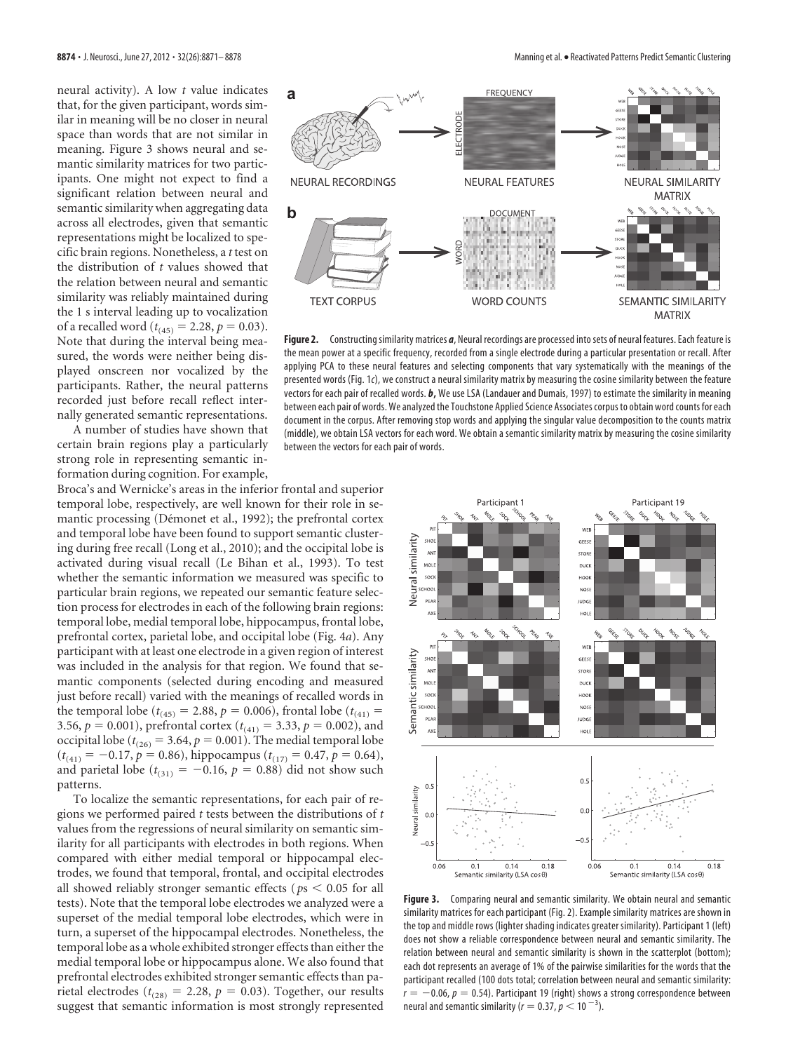neural activity). A low *t* value indicates that, for the given participant, words similar in meaning will be no closer in neural space than words that are not similar in meaning. Figure 3 shows neural and semantic similarity matrices for two participants. One might not expect to find a significant relation between neural and semantic similarity when aggregating data across all electrodes, given that semantic representations might be localized to specific brain regions. Nonetheless, a *t* test on the distribution of *t* values showed that the relation between neural and semantic similarity was reliably maintained during the 1 s interval leading up to vocalization of a recalled word ( $t_{(45)} = 2.28$ ,  $p = 0.03$ ). Note that during the interval being measured, the words were neither being displayed onscreen nor vocalized by the participants. Rather, the neural patterns recorded just before recall reflect internally generated semantic representations.

A number of studies have shown that certain brain regions play a particularly strong role in representing semantic information during cognition. For example,

Broca's and Wernicke's areas in the inferior frontal and superior temporal lobe, respectively, are well known for their role in semantic processing (Démonet et al., 1992); the prefrontal cortex and temporal lobe have been found to support semantic clustering during free recall (Long et al., 2010); and the occipital lobe is activated during visual recall (Le Bihan et al., 1993). To test whether the semantic information we measured was specific to particular brain regions, we repeated our semantic feature selection process for electrodes in each of the following brain regions: temporal lobe, medial temporal lobe, hippocampus, frontal lobe, prefrontal cortex, parietal lobe, and occipital lobe (Fig. 4*a*). Any participant with at least one electrode in a given region of interest was included in the analysis for that region. We found that semantic components (selected during encoding and measured just before recall) varied with the meanings of recalled words in the temporal lobe ( $t_{(45)} = 2.88$ ,  $p = 0.006$ ), frontal lobe ( $t_{(41)} =$ 3.56,  $p = 0.001$ ), prefrontal cortex ( $t_{(41)} = 3.33$ ,  $p = 0.002$ ), and occipital lobe ( $t_{(26)} = 3.64$ ,  $p = 0.001$ ). The medial temporal lobe  $(t_{(41)} = -0.17, p = 0.86)$ , hippocampus  $(t_{(17)} = 0.47, p = 0.64)$ , and parietal lobe ( $t_{(31)} = -0.16$ ,  $p = 0.88$ ) did not show such patterns.

To localize the semantic representations, for each pair of regions we performed paired *t* tests between the distributions of *t* values from the regressions of neural similarity on semantic similarity for all participants with electrodes in both regions. When compared with either medial temporal or hippocampal electrodes, we found that temporal, frontal, and occipital electrodes all showed reliably stronger semantic effects ( $ps < 0.05$  for all tests). Note that the temporal lobe electrodes we analyzed were a superset of the medial temporal lobe electrodes, which were in turn, a superset of the hippocampal electrodes. Nonetheless, the temporal lobe as a whole exhibited stronger effects than either the medial temporal lobe or hippocampus alone. We also found that prefrontal electrodes exhibited stronger semantic effects than parietal electrodes ( $t_{(28)} = 2.28$ ,  $p = 0.03$ ). Together, our results suggest that semantic information is most strongly represented



Figure 2. Constructing similarity matrices *a*, Neural recordings are processed into sets of neural features. Each feature is the mean power at a specific frequency, recorded from a single electrode during a particular presentation or recall. After applying PCA to these neural features and selecting components that vary systematically with the meanings of the presented words (Fig. 1*c*), we construct a neural similarity matrix by measuring the cosine similarity between the feature vectors for each pair of recalled words. *b***,** We use LSA (Landauer and Dumais, 1997) to estimate the similarity in meaning between each pair of words. We analyzed the Touchstone Applied Science Associates corpus to obtain word counts for each document in the corpus. After removing stop words and applying the singular value decomposition to the counts matrix (middle), we obtain LSA vectors for each word. We obtain a semantic similarity matrix by measuring the cosine similarity between the vectors for each pair of words.



**Figure 3.** Comparing neural and semantic similarity. We obtain neural and semantic similarity matrices for each participant (Fig. 2). Example similarity matrices are shown in the top and middle rows (lighter shading indicates greater similarity). Participant 1 (left) does not show a reliable correspondence between neural and semantic similarity. The relation between neural and semantic similarity is shown in the scatterplot (bottom); each dot represents an average of 1% of the pairwise similarities for the words that the participant recalled (100 dots total; correlation between neural and semantic similarity:  $r = -0.06$ ,  $p = 0.54$ ). Participant 19 (right) shows a strong correspondence between neural and semantic similarity ( $r = 0.37$ ,  $p < 10^{-3}$ ).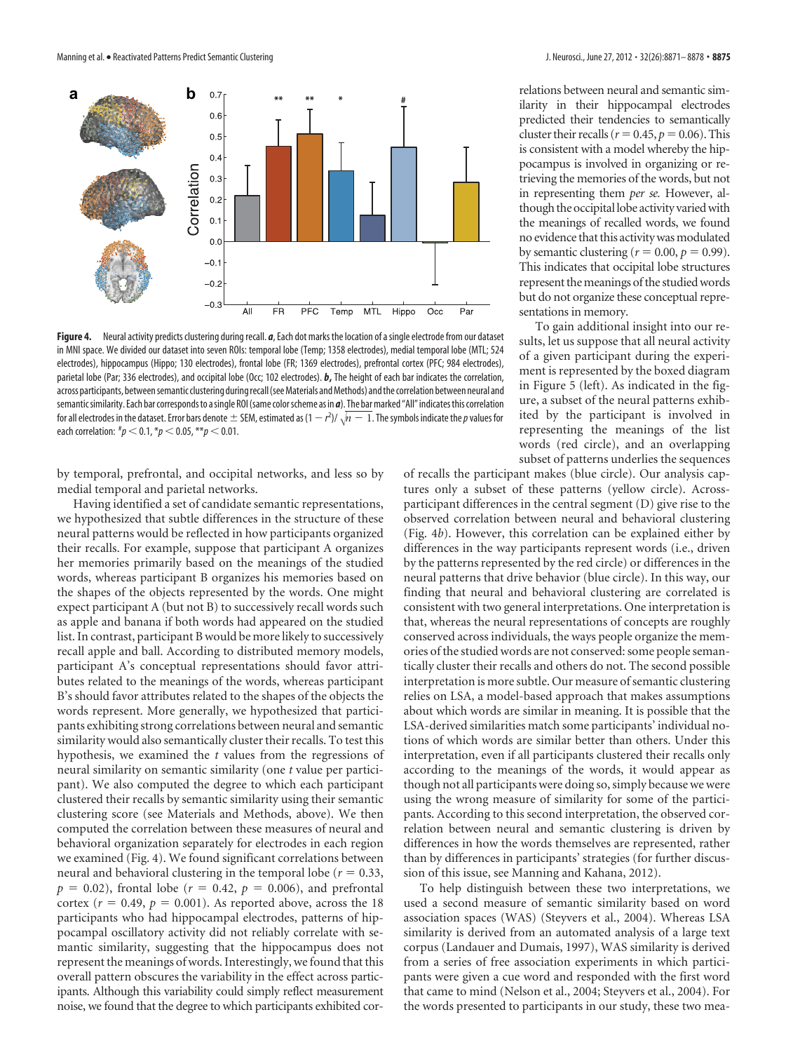

**Figure 4.** Neural activity predicts clustering during recall. *a*, Each dot marks the location of a single electrode from our dataset in MNI space. We divided our dataset into seven ROIs: temporal lobe (Temp; 1358 electrodes), medial temporal lobe (MTL; 524 electrodes), hippocampus (Hippo; 130 electrodes), frontal lobe (FR; 1369 electrodes), prefrontal cortex (PFC; 984 electrodes), parietal lobe (Par; 336 electrodes), and occipital lobe (Occ; 102 electrodes). *b***,** The height of each bar indicates the correlation, across participants, between semantic clustering during recall (see Materials and Methods) and the correlation between neural and semanticsimilarity. Each bar correspondsto asingle ROI(same colorscheme as in *a*). The barmarked "All" indicatesthis correlation for all electrodes in the dataset. Error bars denote SEM, estimated as (1 *r* 2 )/-*n* 1. Thesymbols indicate the*p*values for each correlation:  $^{*}\!p <$  0.1,  $^{*}\!p <$  0.05,  $^{**}\!p <$  0.01.

by temporal, prefrontal, and occipital networks, and less so by medial temporal and parietal networks.

Having identified a set of candidate semantic representations, we hypothesized that subtle differences in the structure of these neural patterns would be reflected in how participants organized their recalls. For example, suppose that participant A organizes her memories primarily based on the meanings of the studied words, whereas participant B organizes his memories based on the shapes of the objects represented by the words. One might expect participant A (but not B) to successively recall words such as apple and banana if both words had appeared on the studied list. In contrast, participant B would be more likely to successively recall apple and ball. According to distributed memory models, participant A's conceptual representations should favor attributes related to the meanings of the words, whereas participant B's should favor attributes related to the shapes of the objects the words represent. More generally, we hypothesized that participants exhibiting strong correlations between neural and semantic similarity would also semantically cluster their recalls. To test this hypothesis, we examined the *t* values from the regressions of neural similarity on semantic similarity (one *t* value per participant). We also computed the degree to which each participant clustered their recalls by semantic similarity using their semantic clustering score (see Materials and Methods, above). We then computed the correlation between these measures of neural and behavioral organization separately for electrodes in each region we examined (Fig. 4). We found significant correlations between neural and behavioral clustering in the temporal lobe ( $r = 0.33$ ,  $p = 0.02$ ), frontal lobe ( $r = 0.42$ ,  $p = 0.006$ ), and prefrontal cortex ( $r = 0.49$ ,  $p = 0.001$ ). As reported above, across the 18 participants who had hippocampal electrodes, patterns of hippocampal oscillatory activity did not reliably correlate with semantic similarity, suggesting that the hippocampus does not represent the meanings of words. Interestingly, we found that this overall pattern obscures the variability in the effect across participants. Although this variability could simply reflect measurement noise, we found that the degree to which participants exhibited correlations between neural and semantic similarity in their hippocampal electrodes predicted their tendencies to semantically cluster their recalls ( $r=0.45$ ,  $p=0.06$ ). This is consistent with a model whereby the hippocampus is involved in organizing or retrieving the memories of the words, but not in representing them *per se.* However, although the occipital lobe activity varied with the meanings of recalled words, we found no evidence that this activity was modulated by semantic clustering ( $r = 0.00$ ,  $p = 0.99$ ). This indicates that occipital lobe structures represent the meanings of the studied words but do not organize these conceptual representations in memory.

To gain additional insight into our results, let us suppose that all neural activity of a given participant during the experiment is represented by the boxed diagram in Figure 5 (left). As indicated in the figure, a subset of the neural patterns exhibited by the participant is involved in representing the meanings of the list words (red circle), and an overlapping subset of patterns underlies the sequences

of recalls the participant makes (blue circle). Our analysis captures only a subset of these patterns (yellow circle). Acrossparticipant differences in the central segment (D) give rise to the observed correlation between neural and behavioral clustering (Fig. 4*b*). However, this correlation can be explained either by differences in the way participants represent words (i.e., driven by the patterns represented by the red circle) or differences in the neural patterns that drive behavior (blue circle). In this way, our finding that neural and behavioral clustering are correlated is consistent with two general interpretations. One interpretation is that, whereas the neural representations of concepts are roughly conserved across individuals, the ways people organize the memories of the studied words are not conserved: some people semantically cluster their recalls and others do not. The second possible interpretation is more subtle. Our measure of semantic clustering relies on LSA, a model-based approach that makes assumptions about which words are similar in meaning. It is possible that the LSA-derived similarities match some participants' individual notions of which words are similar better than others. Under this interpretation, even if all participants clustered their recalls only according to the meanings of the words, it would appear as though not all participants were doing so, simply because we were using the wrong measure of similarity for some of the participants. According to this second interpretation, the observed correlation between neural and semantic clustering is driven by differences in how the words themselves are represented, rather than by differences in participants' strategies (for further discussion of this issue, see Manning and Kahana, 2012).

To help distinguish between these two interpretations, we used a second measure of semantic similarity based on word association spaces (WAS) (Steyvers et al., 2004). Whereas LSA similarity is derived from an automated analysis of a large text corpus (Landauer and Dumais, 1997), WAS similarity is derived from a series of free association experiments in which participants were given a cue word and responded with the first word that came to mind (Nelson et al., 2004; Steyvers et al., 2004). For the words presented to participants in our study, these two mea-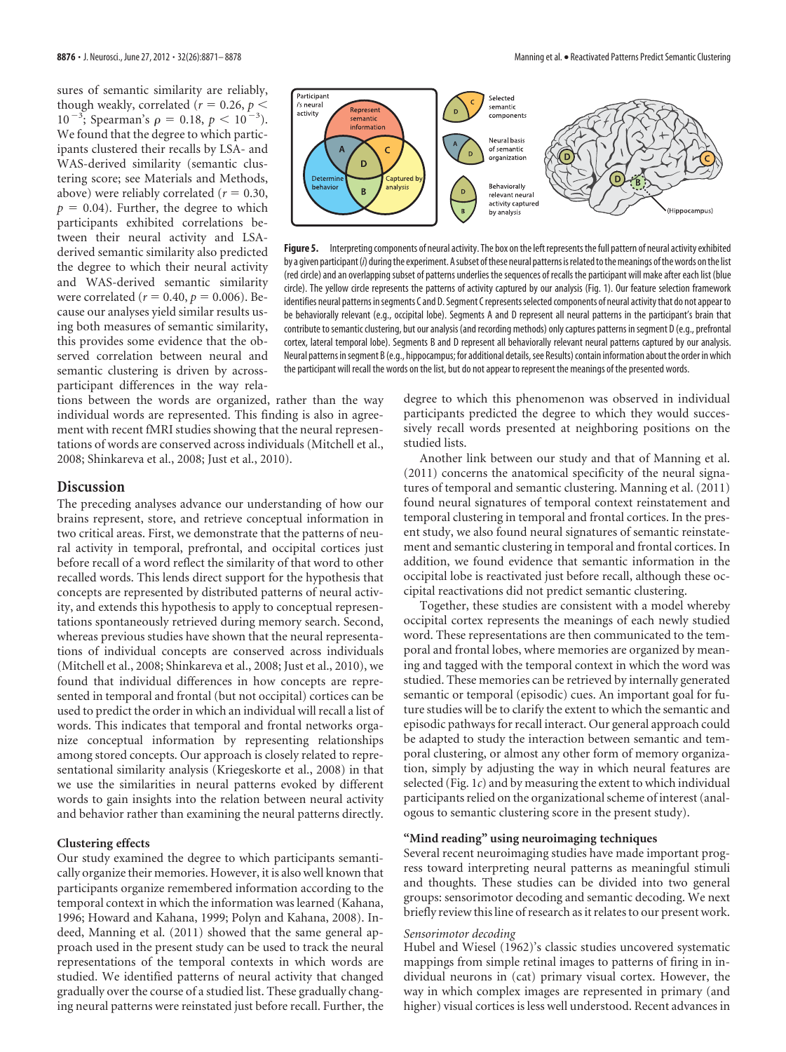sures of semantic similarity are reliably, though weakly, correlated ( $r = 0.26$ ,  $p <$  $10^{-3}$ ; Spearman's  $\rho = 0.18$ ,  $p < 10^{-3}$  $^{3}$ ). We found that the degree to which participants clustered their recalls by LSA- and WAS-derived similarity (semantic clustering score; see Materials and Methods, above) were reliably correlated ( $r = 0.30$ ,  $p = 0.04$ ). Further, the degree to which participants exhibited correlations between their neural activity and LSAderived semantic similarity also predicted the degree to which their neural activity and WAS-derived semantic similarity were correlated ( $r = 0.40, p = 0.006$ ). Because our analyses yield similar results using both measures of semantic similarity, this provides some evidence that the observed correlation between neural and semantic clustering is driven by acrossparticipant differences in the way rela-

tions between the words are organized, rather than the way individual words are represented. This finding is also in agreement with recent fMRI studies showing that the neural representations of words are conserved across individuals (Mitchell et al., 2008; Shinkareva et al., 2008; Just et al., 2010).

## **Discussion**

The preceding analyses advance our understanding of how our brains represent, store, and retrieve conceptual information in two critical areas. First, we demonstrate that the patterns of neural activity in temporal, prefrontal, and occipital cortices just before recall of a word reflect the similarity of that word to other recalled words. This lends direct support for the hypothesis that concepts are represented by distributed patterns of neural activity, and extends this hypothesis to apply to conceptual representations spontaneously retrieved during memory search. Second, whereas previous studies have shown that the neural representations of individual concepts are conserved across individuals (Mitchell et al., 2008; Shinkareva et al., 2008; Just et al., 2010), we found that individual differences in how concepts are represented in temporal and frontal (but not occipital) cortices can be used to predict the order in which an individual will recall a list of words. This indicates that temporal and frontal networks organize conceptual information by representing relationships among stored concepts. Our approach is closely related to representational similarity analysis (Kriegeskorte et al., 2008) in that we use the similarities in neural patterns evoked by different words to gain insights into the relation between neural activity and behavior rather than examining the neural patterns directly.

#### **Clustering effects**

Our study examined the degree to which participants semantically organize their memories. However, it is also well known that participants organize remembered information according to the temporal context in which the information was learned (Kahana, 1996; Howard and Kahana, 1999; Polyn and Kahana, 2008). Indeed, Manning et al. (2011) showed that the same general approach used in the present study can be used to track the neural representations of the temporal contexts in which words are studied. We identified patterns of neural activity that changed gradually over the course of a studied list. These gradually changing neural patterns were reinstated just before recall. Further, the



**Figure 5.** Interpreting components of neural activity. The box on the left represents the full pattern of neural activity exhibited by a given participant (*i*) during the experiment. A subset of these neural patterns is related to the meanings of the words on the list (red circle) and an overlapping subset of patterns underlies the sequences of recalls the participant will make after each list (blue circle). The yellow circle represents the patterns of activity captured by our analysis (Fig. 1). Our feature selection framework identifies neural patterns in segments C and D. Segment C represents selected components of neural activity that do not appear to be behaviorally relevant (e.g., occipital lobe). Segments A and D represent all neural patterns in the participant's brain that contribute to semantic clustering, but our analysis (and recording methods) only captures patterns in segment D (e.g., prefrontal cortex, lateral temporal lobe). Segments B and D represent all behaviorally relevant neural patterns captured by our analysis. Neural patterns in segment B (e.g., hippocampus; for additional details, see Results) contain information about the order in which the participant will recall the words on the list, but do not appear to represent the meanings of the presented words.

degree to which this phenomenon was observed in individual participants predicted the degree to which they would successively recall words presented at neighboring positions on the studied lists.

Another link between our study and that of Manning et al. (2011) concerns the anatomical specificity of the neural signatures of temporal and semantic clustering. Manning et al. (2011) found neural signatures of temporal context reinstatement and temporal clustering in temporal and frontal cortices. In the present study, we also found neural signatures of semantic reinstatement and semantic clustering in temporal and frontal cortices. In addition, we found evidence that semantic information in the occipital lobe is reactivated just before recall, although these occipital reactivations did not predict semantic clustering.

Together, these studies are consistent with a model whereby occipital cortex represents the meanings of each newly studied word. These representations are then communicated to the temporal and frontal lobes, where memories are organized by meaning and tagged with the temporal context in which the word was studied. These memories can be retrieved by internally generated semantic or temporal (episodic) cues. An important goal for future studies will be to clarify the extent to which the semantic and episodic pathways for recall interact. Our general approach could be adapted to study the interaction between semantic and temporal clustering, or almost any other form of memory organization, simply by adjusting the way in which neural features are selected (Fig. 1*c*) and by measuring the extent to which individual participants relied on the organizational scheme of interest (analogous to semantic clustering score in the present study).

## **"Mind reading" using neuroimaging techniques**

Several recent neuroimaging studies have made important progress toward interpreting neural patterns as meaningful stimuli and thoughts. These studies can be divided into two general groups: sensorimotor decoding and semantic decoding. We next briefly review this line of research as it relates to our present work.

#### *Sensorimotor decoding*

Hubel and Wiesel (1962)'s classic studies uncovered systematic mappings from simple retinal images to patterns of firing in individual neurons in (cat) primary visual cortex. However, the way in which complex images are represented in primary (and higher) visual cortices is less well understood. Recent advances in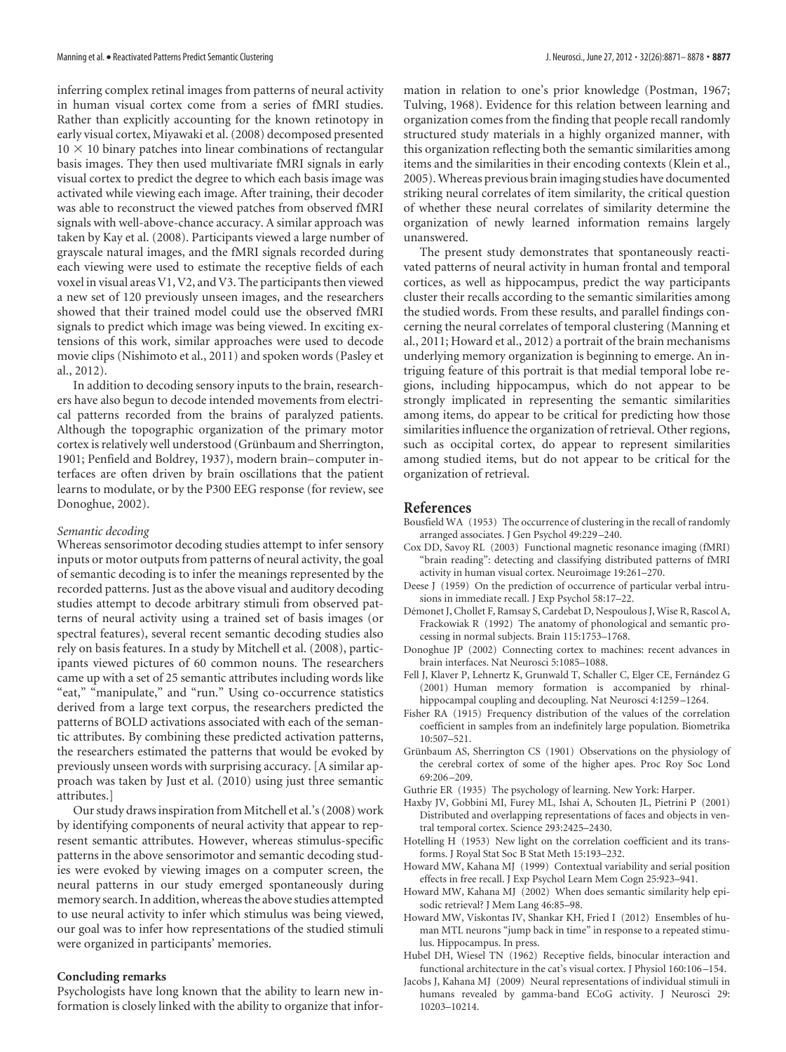inferring complex retinal images from patterns of neural activity in human visual cortex come from a series of fMRI studies. Rather than explicitly accounting for the known retinotopy in early visual cortex, Miyawaki et al. (2008) decomposed presented  $10 \times 10$  binary patches into linear combinations of rectangular basis images. They then used multivariate fMRI signals in early visual cortex to predict the degree to which each basis image was activated while viewing each image. After training, their decoder was able to reconstruct the viewed patches from observed fMRI signals with well-above-chance accuracy. A similar approach was taken by Kay et al. (2008). Participants viewed a large number of grayscale natural images, and the fMRI signals recorded during each viewing were used to estimate the receptive fields of each voxel in visual areas V1, V2, and V3. The participants then viewed a new set of 120 previously unseen images, and the researchers showed that their trained model could use the observed fMRI signals to predict which image was being viewed. In exciting extensions of this work, similar approaches were used to decode movie clips (Nishimoto et al., 2011) and spoken words (Pasley et al., 2012).

In addition to decoding sensory inputs to the brain, researchers have also begun to decode intended movements from electrical patterns recorded from the brains of paralyzed patients. Although the topographic organization of the primary motor cortex is relatively well understood (Grünbaum and Sherrington, 1901; Penfield and Boldrey, 1937), modern brain– computer interfaces are often driven by brain oscillations that the patient learns to modulate, or by the P300 EEG response (for review, see Donoghue, 2002).

#### *Semantic decoding*

Whereas sensorimotor decoding studies attempt to infer sensory inputs or motor outputs from patterns of neural activity, the goal of semantic decoding is to infer the meanings represented by the recorded patterns. Just as the above visual and auditory decoding studies attempt to decode arbitrary stimuli from observed patterns of neural activity using a trained set of basis images (or spectral features), several recent semantic decoding studies also rely on basis features. In a study by Mitchell et al. (2008), participants viewed pictures of 60 common nouns. The researchers came up with a set of 25 semantic attributes including words like "eat," "manipulate," and "run." Using co-occurrence statistics derived from a large text corpus, the researchers predicted the patterns of BOLD activations associated with each of the semantic attributes. By combining these predicted activation patterns, the researchers estimated the patterns that would be evoked by previously unseen words with surprising accuracy. [A similar approach was taken by Just et al. (2010) using just three semantic attributes.]

Our study draws inspiration from Mitchell et al.'s (2008) work by identifying components of neural activity that appear to represent semantic attributes. However, whereas stimulus-specific patterns in the above sensorimotor and semantic decoding studies were evoked by viewing images on a computer screen, the neural patterns in our study emerged spontaneously during memory search. In addition, whereas the above studies attempted to use neural activity to infer which stimulus was being viewed, our goal was to infer how representations of the studied stimuli were organized in participants' memories.

#### **Concluding remarks**

Psychologists have long known that the ability to learn new information is closely linked with the ability to organize that information in relation to one's prior knowledge (Postman, 1967; Tulving, 1968). Evidence for this relation between learning and organization comes from the finding that people recall randomly structured study materials in a highly organized manner, with this organization reflecting both the semantic similarities among items and the similarities in their encoding contexts (Klein et al., 2005).Whereas previous brain imaging studies have documented striking neural correlates of item similarity, the critical question of whether these neural correlates of similarity determine the organization of newly learned information remains largely unanswered.

The present study demonstrates that spontaneously reactivated patterns of neural activity in human frontal and temporal cortices, as well as hippocampus, predict the way participants cluster their recalls according to the semantic similarities among the studied words. From these results, and parallel findings concerning the neural correlates of temporal clustering (Manning et al., 2011; Howard et al., 2012) a portrait of the brain mechanisms underlying memory organization is beginning to emerge. An intriguing feature of this portrait is that medial temporal lobe regions, including hippocampus, which do not appear to be strongly implicated in representing the semantic similarities among items, do appear to be critical for predicting how those similarities influence the organization of retrieval. Other regions, such as occipital cortex, do appear to represent similarities among studied items, but do not appear to be critical for the organization of retrieval.

#### **References**

- Bousfield WA (1953) The occurrence of clustering in the recall of randomly arranged associates. J Gen Psychol 49:229 –240.
- Cox DD, Savoy RL (2003) Functional magnetic resonance imaging (fMRI) "brain reading": detecting and classifying distributed patterns of fMRI activity in human visual cortex. Neuroimage 19:261–270.
- Deese J (1959) On the prediction of occurrence of particular verbal intrusions in immediate recall. J Exp Psychol 58:17–22.
- Démonet J, Chollet F, Ramsay S, Cardebat D, Nespoulous J, Wise R, Rascol A, Frackowiak R (1992) The anatomy of phonological and semantic processing in normal subjects. Brain 115:1753–1768.
- Donoghue JP (2002) Connecting cortex to machines: recent advances in brain interfaces. Nat Neurosci 5:1085–1088.
- Fell J, Klaver P, Lehnertz K, Grunwald T, Schaller C, Elger CE, Fernández G (2001) Human memory formation is accompanied by rhinalhippocampal coupling and decoupling. Nat Neurosci 4:1259 –1264.
- Fisher RA (1915) Frequency distribution of the values of the correlation coefficient in samples from an indefinitely large population. Biometrika 10:507–521.
- Grünbaum AS, Sherrington CS (1901) Observations on the physiology of the cerebral cortex of some of the higher apes. Proc Roy Soc Lond 69:206 –209.
- Guthrie ER (1935) The psychology of learning. New York: Harper.
- Haxby JV, Gobbini MI, Furey ML, Ishai A, Schouten JL, Pietrini P (2001) Distributed and overlapping representations of faces and objects in ventral temporal cortex. Science 293:2425–2430.
- Hotelling H (1953) New light on the correlation coefficient and its transforms. J Royal Stat Soc B Stat Meth 15:193–232.
- Howard MW, Kahana MJ (1999) Contextual variability and serial position effects in free recall. J Exp Psychol Learn Mem Cogn 25:923–941.
- Howard MW, Kahana MJ (2002) When does semantic similarity help episodic retrieval? J Mem Lang 46:85–98.
- Howard MW, Viskontas IV, Shankar KH, Fried I (2012) Ensembles of human MTL neurons "jump back in time" in response to a repeated stimulus. Hippocampus. In press.
- Hubel DH, Wiesel TN (1962) Receptive fields, binocular interaction and functional architecture in the cat's visual cortex. J Physiol 160:106 –154.
- Jacobs J, Kahana MJ (2009) Neural representations of individual stimuli in humans revealed by gamma-band ECoG activity. J Neurosci 29: 10203–10214.